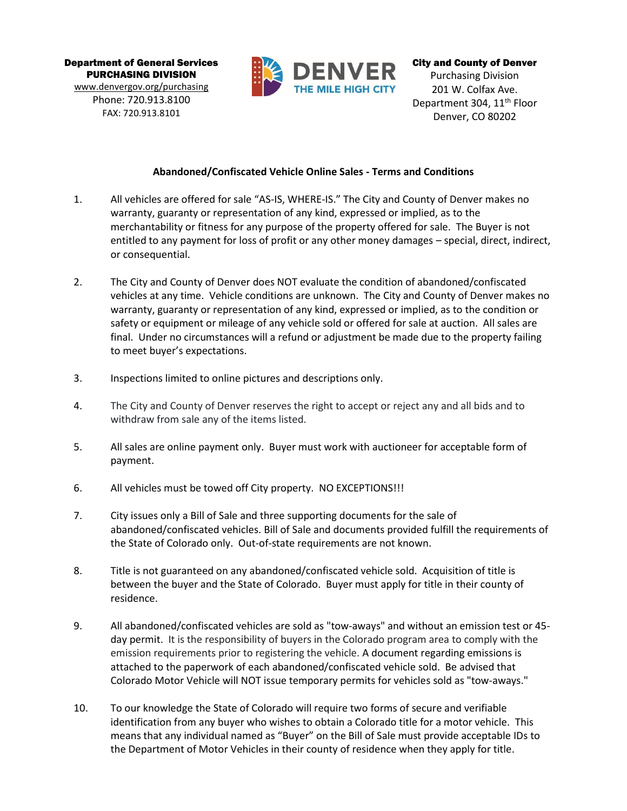Department of General Services PURCHASING DIVISION [www.denvergov.org/purchasing](http://www.denvergov.org/purchasing)

Phone: 720.913.8100 FAX: 720.913.8101



City and County of Denver Purchasing Division 201 W. Colfax Ave. Department 304, 11<sup>th</sup> Floor Denver, CO 80202

## **Abandoned/Confiscated Vehicle Online Sales - Terms and Conditions**

- 1. All vehicles are offered for sale "AS-IS, WHERE-IS." The City and County of Denver makes no warranty, guaranty or representation of any kind, expressed or implied, as to the merchantability or fitness for any purpose of the property offered for sale. The Buyer is not entitled to any payment for loss of profit or any other money damages – special, direct, indirect, or consequential.
- 2. The City and County of Denver does NOT evaluate the condition of abandoned/confiscated vehicles at any time. Vehicle conditions are unknown. The City and County of Denver makes no warranty, guaranty or representation of any kind, expressed or implied, as to the condition or safety or equipment or mileage of any vehicle sold or offered for sale at auction. All sales are final. Under no circumstances will a refund or adjustment be made due to the property failing to meet buyer's expectations.
- 3. Inspections limited to online pictures and descriptions only.
- 4. The City and County of Denver reserves the right to accept or reject any and all bids and to withdraw from sale any of the items listed.
- 5. All sales are online payment only. Buyer must work with auctioneer for acceptable form of payment.
- 6. All vehicles must be towed off City property. NO EXCEPTIONS!!!
- 7. City issues only a Bill of Sale and three supporting documents for the sale of abandoned/confiscated vehicles. Bill of Sale and documents provided fulfill the requirements of the State of Colorado only. Out-of-state requirements are not known.
- 8. Title is not guaranteed on any abandoned/confiscated vehicle sold. Acquisition of title is between the buyer and the State of Colorado. Buyer must apply for title in their county of residence.
- 9. All abandoned/confiscated vehicles are sold as "tow-aways" and without an emission test or 45 day permit. It is the responsibility of buyers in the Colorado program area to comply with the emission requirements prior to registering the vehicle. A document regarding emissions is attached to the paperwork of each abandoned/confiscated vehicle sold. Be advised that Colorado Motor Vehicle will NOT issue temporary permits for vehicles sold as "tow-aways."
- 10. To our knowledge the State of Colorado will require two forms of secure and verifiable identification from any buyer who wishes to obtain a Colorado title for a motor vehicle. This means that any individual named as "Buyer" on the Bill of Sale must provide acceptable IDs to the Department of Motor Vehicles in their county of residence when they apply for title.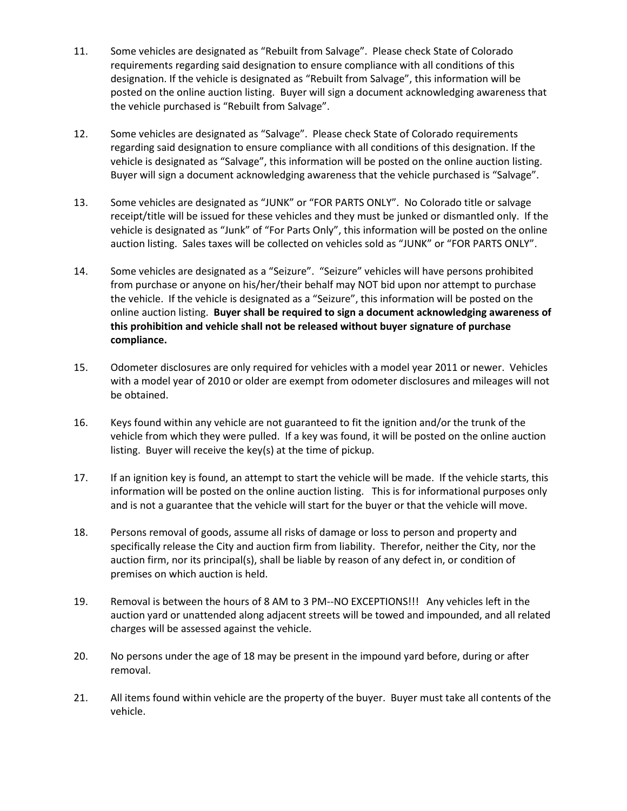- 11. Some vehicles are designated as "Rebuilt from Salvage". Please check State of Colorado requirements regarding said designation to ensure compliance with all conditions of this designation. If the vehicle is designated as "Rebuilt from Salvage", this information will be posted on the online auction listing. Buyer will sign a document acknowledging awareness that the vehicle purchased is "Rebuilt from Salvage".
- 12. Some vehicles are designated as "Salvage". Please check State of Colorado requirements regarding said designation to ensure compliance with all conditions of this designation. If the vehicle is designated as "Salvage", this information will be posted on the online auction listing. Buyer will sign a document acknowledging awareness that the vehicle purchased is "Salvage".
- 13. Some vehicles are designated as "JUNK" or "FOR PARTS ONLY". No Colorado title or salvage receipt/title will be issued for these vehicles and they must be junked or dismantled only. If the vehicle is designated as "Junk" of "For Parts Only", this information will be posted on the online auction listing. Sales taxes will be collected on vehicles sold as "JUNK" or "FOR PARTS ONLY".
- 14. Some vehicles are designated as a "Seizure". "Seizure" vehicles will have persons prohibited from purchase or anyone on his/her/their behalf may NOT bid upon nor attempt to purchase the vehicle. If the vehicle is designated as a "Seizure", this information will be posted on the online auction listing. **Buyer shall be required to sign a document acknowledging awareness of this prohibition and vehicle shall not be released without buyer signature of purchase compliance.**
- 15. Odometer disclosures are only required for vehicles with a model year 2011 or newer. Vehicles with a model year of 2010 or older are exempt from odometer disclosures and mileages will not be obtained.
- 16. Keys found within any vehicle are not guaranteed to fit the ignition and/or the trunk of the vehicle from which they were pulled. If a key was found, it will be posted on the online auction listing. Buyer will receive the key(s) at the time of pickup.
- 17. If an ignition key is found, an attempt to start the vehicle will be made. If the vehicle starts, this information will be posted on the online auction listing. This is for informational purposes only and is not a guarantee that the vehicle will start for the buyer or that the vehicle will move.
- 18. Persons removal of goods, assume all risks of damage or loss to person and property and specifically release the City and auction firm from liability. Therefor, neither the City, nor the auction firm, nor its principal(s), shall be liable by reason of any defect in, or condition of premises on which auction is held.
- 19. Removal is between the hours of 8 AM to 3 PM--NO EXCEPTIONS!!! Any vehicles left in the auction yard or unattended along adjacent streets will be towed and impounded, and all related charges will be assessed against the vehicle.
- 20. No persons under the age of 18 may be present in the impound yard before, during or after removal.
- 21. All items found within vehicle are the property of the buyer. Buyer must take all contents of the vehicle.